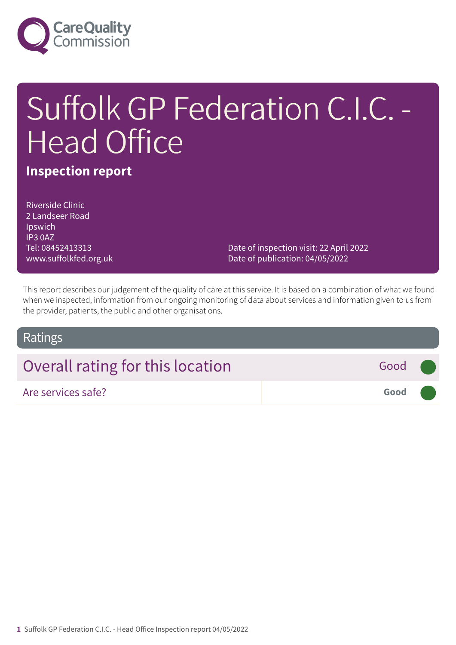

# Suffolk GP Federation C.I.C. - Head Office

### **Inspection report**

Riverside Clinic 2 Landseer Road Ipswich IP3 0AZ Tel: 08452413313 www.suffolkfed.org.uk

Date of inspection visit: 22 April 2022 Date of publication: 04/05/2022

This report describes our judgement of the quality of care at this service. It is based on a combination of what we found when we inspected, information from our ongoing monitoring of data about services and information given to us from the provider, patients, the public and other organisations.

### Ratings

## Overall rating for this location **Fig. 10.13 Cood Good** Are services safe? **Good –––**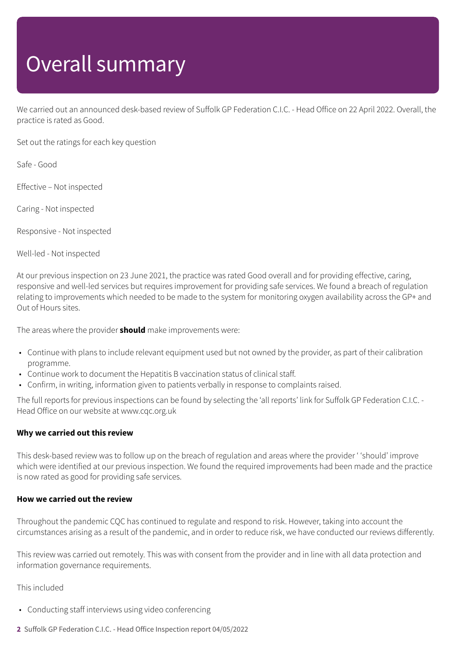## Overall summary

We carried out an announced desk-based review of Suffolk GP Federation C.I.C. - Head Office on 22 April 2022. Overall, the practice is rated as Good.

Set out the ratings for each key question

Safe - Good

Effective – Not inspected

Caring - Not inspected

Responsive - Not inspected

Well-led - Not inspected

At our previous inspection on 23 June 2021, the practice was rated Good overall and for providing effective, caring, responsive and well-led services but requires improvement for providing safe services. We found a breach of regulation relating to improvements which needed to be made to the system for monitoring oxygen availability across the GP+ and Out of Hours sites.

The areas where the provider **should** make improvements were:

- Continue with plans to include relevant equipment used but not owned by the provider, as part of their calibration programme.
- Continue work to document the Hepatitis B vaccination status of clinical staff.
- Confirm, in writing, information given to patients verbally in response to complaints raised.

The full reports for previous inspections can be found by selecting the 'all reports' link for Suffolk GP Federation C.I.C. - Head Office on our website at www.cqc.org.uk

#### **Why we carried out this review**

This desk-based review was to follow up on the breach of regulation and areas where the provider ' 'should' improve which were identified at our previous inspection. We found the required improvements had been made and the practice is now rated as good for providing safe services.

#### **How we carried out the review**

Throughout the pandemic CQC has continued to regulate and respond to risk. However, taking into account the circumstances arising as a result of the pandemic, and in order to reduce risk, we have conducted our reviews differently.

This review was carried out remotely. This was with consent from the provider and in line with all data protection and information governance requirements.

#### This included

- Conducting staff interviews using video conferencing
- **2** Suffolk GP Federation C.I.C. Head Office Inspection report 04/05/2022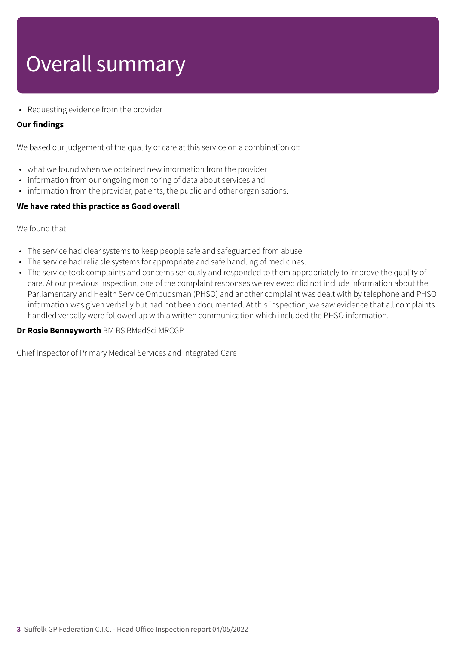## Overall summary

• Requesting evidence from the provider

#### **Our findings**

We based our judgement of the quality of care at this service on a combination of:

- what we found when we obtained new information from the provider
- information from our ongoing monitoring of data about services and
- information from the provider, patients, the public and other organisations.

#### **We have rated this practice as Good overall**

We found that:

- The service had clear systems to keep people safe and safeguarded from abuse.
- The service had reliable systems for appropriate and safe handling of medicines.
- The service took complaints and concerns seriously and responded to them appropriately to improve the quality of care. At our previous inspection, one of the complaint responses we reviewed did not include information about the Parliamentary and Health Service Ombudsman (PHSO) and another complaint was dealt with by telephone and PHSO information was given verbally but had not been documented. At this inspection, we saw evidence that all complaints handled verbally were followed up with a written communication which included the PHSO information.

#### **Dr Rosie Benneyworth** BM BS BMedSci MRCGP

Chief Inspector of Primary Medical Services and Integrated Care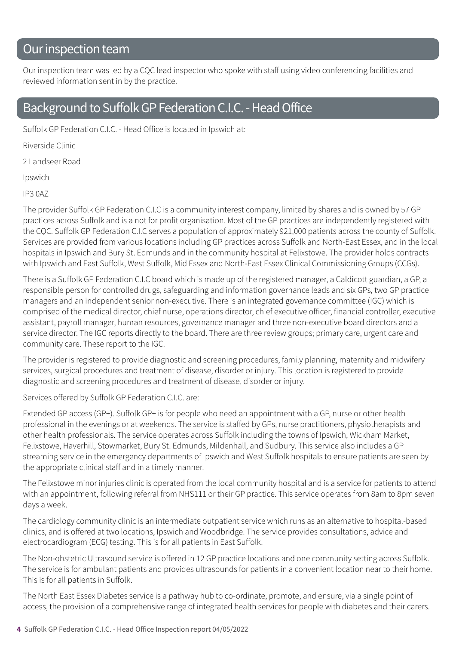### Our inspection team

Our inspection team was led by a CQC lead inspector who spoke with staff using video conferencing facilities and reviewed information sent in by the practice.

### Background to Suffolk GP Federation C.I.C. - Head Office

Suffolk GP Federation C.I.C. - Head Office is located in Ipswich at:

Riverside Clinic

2 Landseer Road

Ipswich

IP3 0AZ

The provider Suffolk GP Federation C.I.C is a community interest company, limited by shares and is owned by 57 GP practices across Suffolk and is a not for profit organisation. Most of the GP practices are independently registered with the CQC. Suffolk GP Federation C.I.C serves a population of approximately 921,000 patients across the county of Suffolk. Services are provided from various locations including GP practices across Suffolk and North-East Essex, and in the local hospitals in Ipswich and Bury St. Edmunds and in the community hospital at Felixstowe. The provider holds contracts with Ipswich and East Suffolk, West Suffolk, Mid Essex and North-East Essex Clinical Commissioning Groups (CCGs).

There is a Suffolk GP Federation C.I.C board which is made up of the registered manager, a Caldicott guardian, a GP, a responsible person for controlled drugs, safeguarding and information governance leads and six GPs, two GP practice managers and an independent senior non-executive. There is an integrated governance committee (IGC) which is comprised of the medical director, chief nurse, operations director, chief executive officer, financial controller, executive assistant, payroll manager, human resources, governance manager and three non-executive board directors and a service director. The IGC reports directly to the board. There are three review groups; primary care, urgent care and community care. These report to the IGC.

The provider is registered to provide diagnostic and screening procedures, family planning, maternity and midwifery services, surgical procedures and treatment of disease, disorder or injury. This location is registered to provide diagnostic and screening procedures and treatment of disease, disorder or injury.

Services offered by Suffolk GP Federation C.I.C. are:

Extended GP access (GP+). Suffolk GP+ is for people who need an appointment with a GP, nurse or other health professional in the evenings or at weekends. The service is staffed by GPs, nurse practitioners, physiotherapists and other health professionals. The service operates across Suffolk including the towns of Ipswich, Wickham Market, Felixstowe, Haverhill, Stowmarket, Bury St. Edmunds, Mildenhall, and Sudbury. This service also includes a GP streaming service in the emergency departments of Ipswich and West Suffolk hospitals to ensure patients are seen by the appropriate clinical staff and in a timely manner.

The Felixstowe minor injuries clinic is operated from the local community hospital and is a service for patients to attend with an appointment, following referral from NHS111 or their GP practice. This service operates from 8am to 8pm seven days a week.

The cardiology community clinic is an intermediate outpatient service which runs as an alternative to hospital-based clinics, and is offered at two locations, Ipswich and Woodbridge. The service provides consultations, advice and electrocardiogram (ECG) testing. This is for all patients in East Suffolk.

The Non-obstetric Ultrasound service is offered in 12 GP practice locations and one community setting across Suffolk. The service is for ambulant patients and provides ultrasounds for patients in a convenient location near to their home. This is for all patients in Suffolk.

The North East Essex Diabetes service is a pathway hub to co-ordinate, promote, and ensure, via a single point of access, the provision of a comprehensive range of integrated health services for people with diabetes and their carers.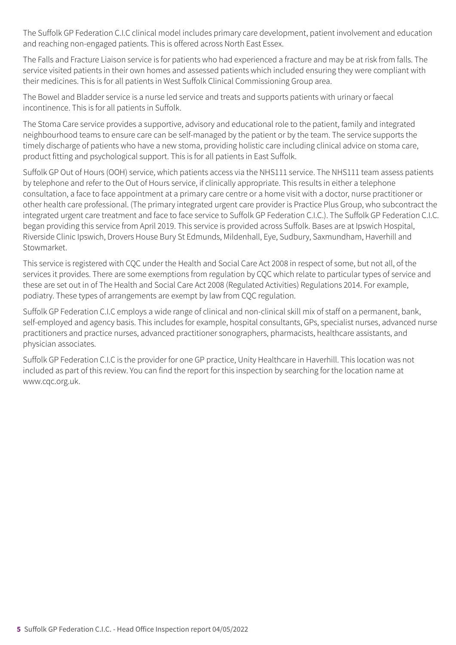The Suffolk GP Federation C.I.C clinical model includes primary care development, patient involvement and education and reaching non-engaged patients. This is offered across North East Essex.

The Falls and Fracture Liaison service is for patients who had experienced a fracture and may be at risk from falls. The service visited patients in their own homes and assessed patients which included ensuring they were compliant with their medicines. This is for all patients in West Suffolk Clinical Commissioning Group area.

The Bowel and Bladder service is a nurse led service and treats and supports patients with urinary or faecal incontinence. This is for all patients in Suffolk.

The Stoma Care service provides a supportive, advisory and educational role to the patient, family and integrated neighbourhood teams to ensure care can be self-managed by the patient or by the team. The service supports the timely discharge of patients who have a new stoma, providing holistic care including clinical advice on stoma care, product fitting and psychological support. This is for all patients in East Suffolk.

Suffolk GP Out of Hours (OOH) service, which patients access via the NHS111 service. The NHS111 team assess patients by telephone and refer to the Out of Hours service, if clinically appropriate. This results in either a telephone consultation, a face to face appointment at a primary care centre or a home visit with a doctor, nurse practitioner or other health care professional. (The primary integrated urgent care provider is Practice Plus Group, who subcontract the integrated urgent care treatment and face to face service to Suffolk GP Federation C.I.C.). The Suffolk GP Federation C.I.C. began providing this service from April 2019. This service is provided across Suffolk. Bases are at Ipswich Hospital, Riverside Clinic Ipswich, Drovers House Bury St Edmunds, Mildenhall, Eye, Sudbury, Saxmundham, Haverhill and Stowmarket.

This service is registered with CQC under the Health and Social Care Act 2008 in respect of some, but not all, of the services it provides. There are some exemptions from regulation by CQC which relate to particular types of service and these are set out in of The Health and Social Care Act 2008 (Regulated Activities) Regulations 2014. For example, podiatry. These types of arrangements are exempt by law from CQC regulation.

Suffolk GP Federation C.I.C employs a wide range of clinical and non-clinical skill mix of staff on a permanent, bank, self-employed and agency basis. This includes for example, hospital consultants, GPs, specialist nurses, advanced nurse practitioners and practice nurses, advanced practitioner sonographers, pharmacists, healthcare assistants, and physician associates.

Suffolk GP Federation C.I.C is the provider for one GP practice, Unity Healthcare in Haverhill. This location was not included as part of this review. You can find the report for this inspection by searching for the location name at www.cqc.org.uk.